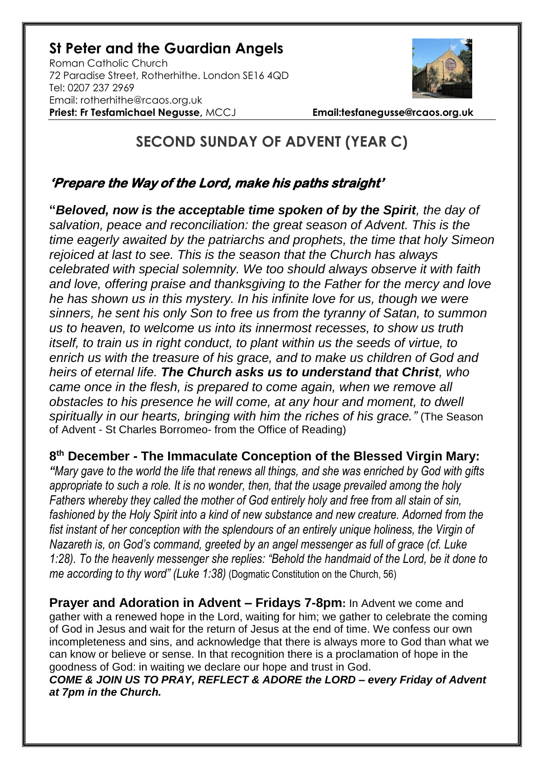## **St Peter and the Guardian Angels**

Roman Catholic Church 72 Paradise Street, Rotherhithe. London SE16 4QD [Tel: 0207](tel:0207) 237 2969 Email: rotherhithe@rcaos.org.uk **Priest: Fr Tesfamichael Negusse,** MCCJ **Email:tesfanegusse@rcaos.org.uk**



## **SECOND SUNDAY OF ADVENT (YEAR C)**

## **'Prepare the Way of the Lord, make his paths straight'**

**"***Beloved, now is the acceptable time spoken of by the Spirit, the day of salvation, peace and reconciliation: the great season of Advent. This is the time eagerly awaited by the patriarchs and prophets, the time that holy Simeon rejoiced at last to see. This is the season that the Church has always celebrated with special solemnity. We too should always observe it with faith and love, offering praise and thanksgiving to the Father for the mercy and love he has shown us in this mystery. In his infinite love for us, though we were sinners, he sent his only Son to free us from the tyranny of Satan, to summon us to heaven, to welcome us into its innermost recesses, to show us truth itself, to train us in right conduct, to plant within us the seeds of virtue, to enrich us with the treasure of his grace, and to make us children of God and heirs of eternal life. The Church asks us to understand that Christ, who came once in the flesh, is prepared to come again, when we remove all obstacles to his presence he will come, at any hour and moment, to dwell spiritually in our hearts, bringing with him the riches of his grace."* (The Season of Advent - St Charles Borromeo- from the Office of Reading)

**8 th December - The Immaculate Conception of the Blessed Virgin Mary:**

*"Mary gave to the world the life that renews all things, and she was enriched by God with gifts appropriate to such a role. It is no wonder, then, that the usage prevailed among the holy Fathers whereby they called the mother of God entirely holy and free from all stain of sin, fashioned by the Holy Spirit into a kind of new substance and new creature. Adorned from the fist instant of her conception with the splendours of an entirely unique holiness, the Virgin of Nazareth is, on God's command, greeted by an angel messenger as full of grace (cf. Luke 1:28). To the heavenly messenger she replies: "Behold the handmaid of the Lord, be it done to me according to thy word" (Luke 1:38)* (Dogmatic Constitution on the Church, 56)

**Prayer and Adoration in Advent – Fridays 7-8pm:** In Advent we come and gather with a renewed hope in the Lord, waiting for him; we gather to celebrate the coming of God in Jesus and wait for the return of Jesus at the end of time. We confess our own incompleteness and sins, and acknowledge that there is always more to God than what we can know or believe or sense. In that recognition there is a proclamation of hope in the goodness of God: in waiting we declare our hope and trust in God.

*COME & JOIN US TO PRAY, REFLECT & ADORE the LORD – every Friday of Advent at 7pm in the Church.*